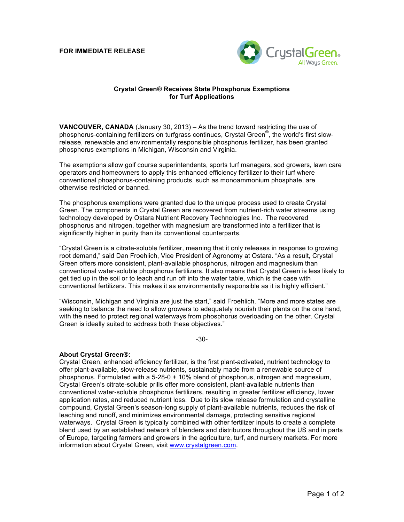**FOR IMMEDIATE RELEASE**



## **Crystal Green® Receives State Phosphorus Exemptions for Turf Applications**

**VANCOUVER, CANADA** (January 30, 2013) – As the trend toward restricting the use of phosphorus-containing fertilizers on turfgrass continues, Crystal Green® , the world's first slowrelease, renewable and environmentally responsible phosphorus fertilizer, has been granted phosphorus exemptions in Michigan, Wisconsin and Virginia.

The exemptions allow golf course superintendents, sports turf managers, sod growers, lawn care operators and homeowners to apply this enhanced efficiency fertilizer to their turf where conventional phosphorus-containing products, such as monoammonium phosphate, are otherwise restricted or banned.

The phosphorus exemptions were granted due to the unique process used to create Crystal Green. The components in Crystal Green are recovered from nutrient-rich water streams using technology developed by Ostara Nutrient Recovery Technologies Inc. The recovered phosphorus and nitrogen, together with magnesium are transformed into a fertilizer that is significantly higher in purity than its conventional counterparts.

"Crystal Green is a citrate-soluble fertilizer, meaning that it only releases in response to growing root demand," said Dan Froehlich, Vice President of Agronomy at Ostara. "As a result, Crystal Green offers more consistent, plant-available phosphorus, nitrogen and magnesium than conventional water-soluble phosphorus fertilizers. It also means that Crystal Green is less likely to get tied up in the soil or to leach and run off into the water table, which is the case with conventional fertilizers. This makes it as environmentally responsible as it is highly efficient."

"Wisconsin, Michigan and Virginia are just the start," said Froehlich. "More and more states are seeking to balance the need to allow growers to adequately nourish their plants on the one hand, with the need to protect regional waterways from phosphorus overloading on the other. Crystal Green is ideally suited to address both these objectives."

-30-

## **About Crystal Green®:**

Crystal Green, enhanced efficiency fertilizer, is the first plant-activated, nutrient technology to offer plant-available, slow-release nutrients, sustainably made from a renewable source of phosphorus. Formulated with a 5-28-0 + 10% blend of phosphorus, nitrogen and magnesium, Crystal Green's citrate-soluble prills offer more consistent, plant-available nutrients than conventional water-soluble phosphorus fertilizers, resulting in greater fertilizer efficiency, lower application rates, and reduced nutrient loss. Due to its slow release formulation and crystalline compound, Crystal Green's season-long supply of plant-available nutrients, reduces the risk of leaching and runoff, and minimizes environmental damage, protecting sensitive regional waterways. Crystal Green is typically combined with other fertilizer inputs to create a complete blend used by an established network of blenders and distributors throughout the US and in parts of Europe, targeting farmers and growers in the agriculture, turf, and nursery markets. For more information about Crystal Green, visit www.crystalgreen.com.